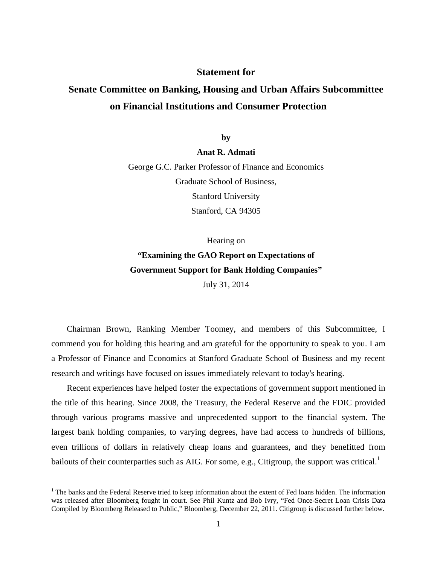### **Statement for**

# **Senate Committee on Banking, Housing and Urban Affairs Subcommittee on Financial Institutions and Consumer Protection**

**by** 

**Anat R. Admati**

George G.C. Parker Professor of Finance and Economics Graduate School of Business, Stanford University Stanford, CA 94305

Hearing on **"Examining the GAO Report on Expectations of Government Support for Bank Holding Companies"**  July 31, 2014

Chairman Brown, Ranking Member Toomey, and members of this Subcommittee, I commend you for holding this hearing and am grateful for the opportunity to speak to you. I am a Professor of Finance and Economics at Stanford Graduate School of Business and my recent research and writings have focused on issues immediately relevant to today's hearing.

Recent experiences have helped foster the expectations of government support mentioned in the title of this hearing. Since 2008, the Treasury, the Federal Reserve and the FDIC provided through various programs massive and unprecedented support to the financial system. The largest bank holding companies, to varying degrees, have had access to hundreds of billions, even trillions of dollars in relatively cheap loans and guarantees, and they benefitted from bailouts of their counterparties such as AIG. For some, e.g., Citigroup, the support was critical.<sup>1</sup>

<sup>&</sup>lt;sup>1</sup> The banks and the Federal Reserve tried to keep information about the extent of Fed loans hidden. The information was released after Bloomberg fought in court. See Phil Kuntz and Bob Ivry, "Fed Once-Secret Loan Crisis Data Compiled by Bloomberg Released to Public," Bloomberg, December 22, 2011. Citigroup is discussed further below.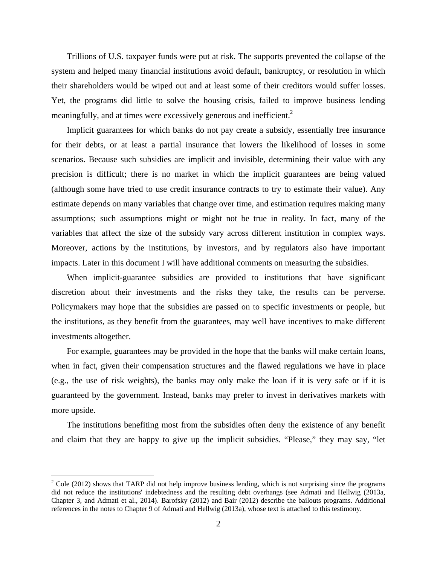Trillions of U.S. taxpayer funds were put at risk. The supports prevented the collapse of the system and helped many financial institutions avoid default, bankruptcy, or resolution in which their shareholders would be wiped out and at least some of their creditors would suffer losses. Yet, the programs did little to solve the housing crisis, failed to improve business lending meaningfully, and at times were excessively generous and inefficient.<sup>2</sup>

Implicit guarantees for which banks do not pay create a subsidy, essentially free insurance for their debts, or at least a partial insurance that lowers the likelihood of losses in some scenarios. Because such subsidies are implicit and invisible, determining their value with any precision is difficult; there is no market in which the implicit guarantees are being valued (although some have tried to use credit insurance contracts to try to estimate their value). Any estimate depends on many variables that change over time, and estimation requires making many assumptions; such assumptions might or might not be true in reality. In fact, many of the variables that affect the size of the subsidy vary across different institution in complex ways. Moreover, actions by the institutions, by investors, and by regulators also have important impacts. Later in this document I will have additional comments on measuring the subsidies.

When implicit-guarantee subsidies are provided to institutions that have significant discretion about their investments and the risks they take, the results can be perverse. Policymakers may hope that the subsidies are passed on to specific investments or people, but the institutions, as they benefit from the guarantees, may well have incentives to make different investments altogether.

For example, guarantees may be provided in the hope that the banks will make certain loans, when in fact, given their compensation structures and the flawed regulations we have in place (e.g., the use of risk weights), the banks may only make the loan if it is very safe or if it is guaranteed by the government. Instead, banks may prefer to invest in derivatives markets with more upside.

The institutions benefiting most from the subsidies often deny the existence of any benefit and claim that they are happy to give up the implicit subsidies. "Please," they may say, "let

<u>.</u>

<sup>&</sup>lt;sup>2</sup> Cole (2012) shows that TARP did not help improve business lending, which is not surprising since the programs did not reduce the institutions' indebtedness and the resulting debt overhangs (see Admati and Hellwig (2013a, Chapter 3, and Admati et al., 2014). Barofsky (2012) and Bair (2012) describe the bailouts programs. Additional references in the notes to Chapter 9 of Admati and Hellwig (2013a), whose text is attached to this testimony.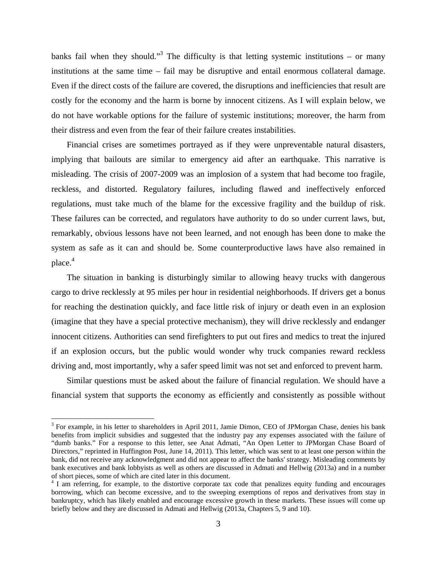banks fail when they should."<sup>3</sup> The difficulty is that letting systemic institutions – or many institutions at the same time – fail may be disruptive and entail enormous collateral damage. Even if the direct costs of the failure are covered, the disruptions and inefficiencies that result are costly for the economy and the harm is borne by innocent citizens. As I will explain below, we do not have workable options for the failure of systemic institutions; moreover, the harm from their distress and even from the fear of their failure creates instabilities.

Financial crises are sometimes portrayed as if they were unpreventable natural disasters, implying that bailouts are similar to emergency aid after an earthquake. This narrative is misleading. The crisis of 2007-2009 was an implosion of a system that had become too fragile, reckless, and distorted. Regulatory failures, including flawed and ineffectively enforced regulations, must take much of the blame for the excessive fragility and the buildup of risk. These failures can be corrected, and regulators have authority to do so under current laws, but, remarkably, obvious lessons have not been learned, and not enough has been done to make the system as safe as it can and should be. Some counterproductive laws have also remained in place.<sup>4</sup>

The situation in banking is disturbingly similar to allowing heavy trucks with dangerous cargo to drive recklessly at 95 miles per hour in residential neighborhoods. If drivers get a bonus for reaching the destination quickly, and face little risk of injury or death even in an explosion (imagine that they have a special protective mechanism), they will drive recklessly and endanger innocent citizens. Authorities can send firefighters to put out fires and medics to treat the injured if an explosion occurs, but the public would wonder why truck companies reward reckless driving and, most importantly, why a safer speed limit was not set and enforced to prevent harm.

Similar questions must be asked about the failure of financial regulation. We should have a financial system that supports the economy as efficiently and consistently as possible without

<sup>&</sup>lt;sup>3</sup> For example, in his letter to shareholders in April 2011, Jamie Dimon, CEO of JPMorgan Chase, denies his bank benefits from implicit subsidies and suggested that the industry pay any expenses associated with the failure of "dumb banks." For a response to this letter, see Anat Admati, "An Open Letter to JPMorgan Chase Board of Directors," reprinted in Huffington Post, June 14, 2011). This letter, which was sent to at least one person within the bank, did not receive any acknowledgment and did not appear to affect the banks' strategy. Misleading comments by bank executives and bank lobbyists as well as others are discussed in Admati and Hellwig (2013a) and in a number of short pieces, some of which are cited later in this document. 4

<sup>&</sup>lt;sup>4</sup> I am referring, for example, to the distortive corporate tax code that penalizes equity funding and encourages borrowing, which can become excessive, and to the sweeping exemptions of repos and derivatives from stay in bankruptcy, which has likely enabled and encourage excessive growth in these markets. These issues will come up briefly below and they are discussed in Admati and Hellwig (2013a, Chapters 5, 9 and 10).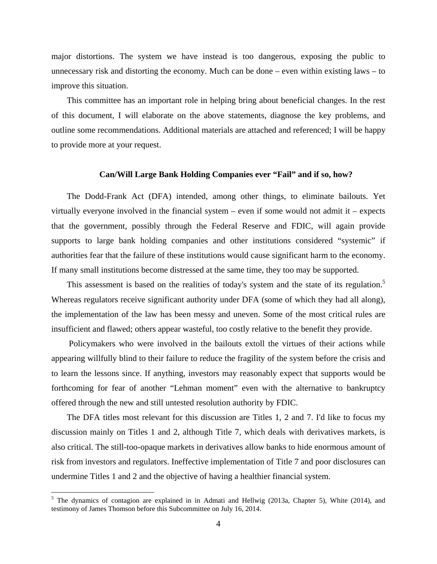major distortions. The system we have instead is too dangerous, exposing the public to unnecessary risk and distorting the economy. Much can be done – even within existing laws – to improve this situation.

This committee has an important role in helping bring about beneficial changes. In the rest of this document, I will elaborate on the above statements, diagnose the key problems, and outline some recommendations. Additional materials are attached and referenced; I will be happy to provide more at your request.

#### **Can/Will Large Bank Holding Companies ever "Fail" and if so, how?**

The Dodd-Frank Act (DFA) intended, among other things, to eliminate bailouts. Yet virtually everyone involved in the financial system – even if some would not admit it – expects that the government, possibly through the Federal Reserve and FDIC, will again provide supports to large bank holding companies and other institutions considered "systemic" if authorities fear that the failure of these institutions would cause significant harm to the economy. If many small institutions become distressed at the same time, they too may be supported.

This assessment is based on the realities of today's system and the state of its regulation.<sup>5</sup> Whereas regulators receive significant authority under DFA (some of which they had all along), the implementation of the law has been messy and uneven. Some of the most critical rules are insufficient and flawed; others appear wasteful, too costly relative to the benefit they provide.

 Policymakers who were involved in the bailouts extoll the virtues of their actions while appearing willfully blind to their failure to reduce the fragility of the system before the crisis and to learn the lessons since. If anything, investors may reasonably expect that supports would be forthcoming for fear of another "Lehman moment" even with the alternative to bankruptcy offered through the new and still untested resolution authority by FDIC.

The DFA titles most relevant for this discussion are Titles 1, 2 and 7. I'd like to focus my discussion mainly on Titles 1 and 2, although Title 7, which deals with derivatives markets, is also critical. The still-too-opaque markets in derivatives allow banks to hide enormous amount of risk from investors and regulators. Ineffective implementation of Title 7 and poor disclosures can undermine Titles 1 and 2 and the objective of having a healthier financial system.

<sup>&</sup>lt;sup>5</sup> The dynamics of contagion are explained in in Admati and Hellwig (2013a, Chapter 5), White (2014), and testimony of James Thomson before this Subcommittee on July 16, 2014.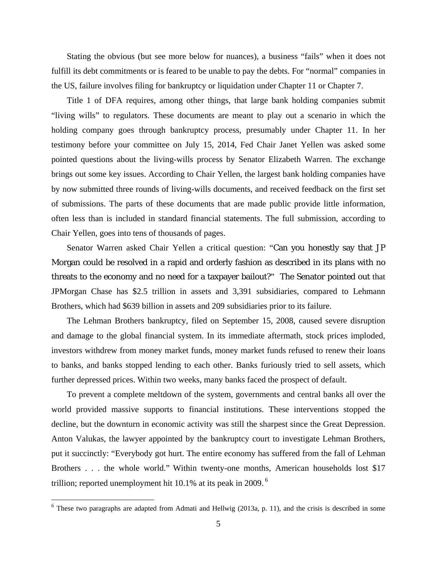Stating the obvious (but see more below for nuances), a business "fails" when it does not fulfill its debt commitments or is feared to be unable to pay the debts. For "normal" companies in the US, failure involves filing for bankruptcy or liquidation under Chapter 11 or Chapter 7.

Title 1 of DFA requires, among other things, that large bank holding companies submit "living wills" to regulators. These documents are meant to play out a scenario in which the holding company goes through bankruptcy process, presumably under Chapter 11. In her testimony before your committee on July 15, 2014, Fed Chair Janet Yellen was asked some pointed questions about the living-wills process by Senator Elizabeth Warren. The exchange brings out some key issues. According to Chair Yellen, the largest bank holding companies have by now submitted three rounds of living-wills documents, and received feedback on the first set of submissions. The parts of these documents that are made public provide little information, often less than is included in standard financial statements. The full submission, according to Chair Yellen, goes into tens of thousands of pages.

Senator Warren asked Chair Yellen a critical question: "Can you honestly say that JP Morgan could be resolved in a rapid and orderly fashion as described in its plans with no threats to the economy and no need for a taxpayer bailout?" The Senator pointed out that JPMorgan Chase has \$2.5 trillion in assets and 3,391 subsidiaries, compared to Lehmann Brothers, which had \$639 billion in assets and 209 subsidiaries prior to its failure.

The Lehman Brothers bankruptcy, filed on September 15, 2008, caused severe disruption and damage to the global financial system. In its immediate aftermath, stock prices imploded, investors withdrew from money market funds, money market funds refused to renew their loans to banks, and banks stopped lending to each other. Banks furiously tried to sell assets, which further depressed prices. Within two weeks, many banks faced the prospect of default.

To prevent a complete meltdown of the system, governments and central banks all over the world provided massive supports to financial institutions. These interventions stopped the decline, but the downturn in economic activity was still the sharpest since the Great Depression. Anton Valukas, the lawyer appointed by the bankruptcy court to investigate Lehman Brothers, put it succinctly: "Everybody got hurt. The entire economy has suffered from the fall of Lehman Brothers . . . the whole world." Within twenty-one months, American households lost \$17 trillion; reported unemployment hit 10.1% at its peak in 2009.  $\frac{6}{10}$ 

 $6$  These two paragraphs are adapted from Admati and Hellwig (2013a, p. 11), and the crisis is described in some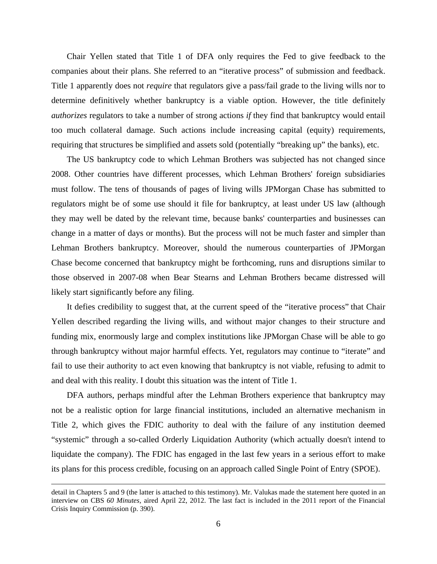Chair Yellen stated that Title 1 of DFA only requires the Fed to give feedback to the companies about their plans. She referred to an "iterative process" of submission and feedback. Title 1 apparently does not *require* that regulators give a pass/fail grade to the living wills nor to determine definitively whether bankruptcy is a viable option. However, the title definitely *authorizes* regulators to take a number of strong actions *if* they find that bankruptcy would entail too much collateral damage. Such actions include increasing capital (equity) requirements, requiring that structures be simplified and assets sold (potentially "breaking up" the banks), etc.

The US bankruptcy code to which Lehman Brothers was subjected has not changed since 2008. Other countries have different processes, which Lehman Brothers' foreign subsidiaries must follow. The tens of thousands of pages of living wills JPMorgan Chase has submitted to regulators might be of some use should it file for bankruptcy, at least under US law (although they may well be dated by the relevant time, because banks' counterparties and businesses can change in a matter of days or months). But the process will not be much faster and simpler than Lehman Brothers bankruptcy. Moreover, should the numerous counterparties of JPMorgan Chase become concerned that bankruptcy might be forthcoming, runs and disruptions similar to those observed in 2007-08 when Bear Stearns and Lehman Brothers became distressed will likely start significantly before any filing.

It defies credibility to suggest that, at the current speed of the "iterative process" that Chair Yellen described regarding the living wills, and without major changes to their structure and funding mix, enormously large and complex institutions like JPMorgan Chase will be able to go through bankruptcy without major harmful effects. Yet, regulators may continue to "iterate" and fail to use their authority to act even knowing that bankruptcy is not viable, refusing to admit to and deal with this reality. I doubt this situation was the intent of Title 1.

DFA authors, perhaps mindful after the Lehman Brothers experience that bankruptcy may not be a realistic option for large financial institutions, included an alternative mechanism in Title 2, which gives the FDIC authority to deal with the failure of any institution deemed "systemic" through a so-called Orderly Liquidation Authority (which actually doesn't intend to liquidate the company). The FDIC has engaged in the last few years in a serious effort to make its plans for this process credible, focusing on an approach called Single Point of Entry (SPOE).

detail in Chapters 5 and 9 (the latter is attached to this testimony). Mr. Valukas made the statement here quoted in an interview on CBS *60 Minutes,* aired April 22, 2012. The last fact is included in the 2011 report of the Financial Crisis Inquiry Commission (p. 390).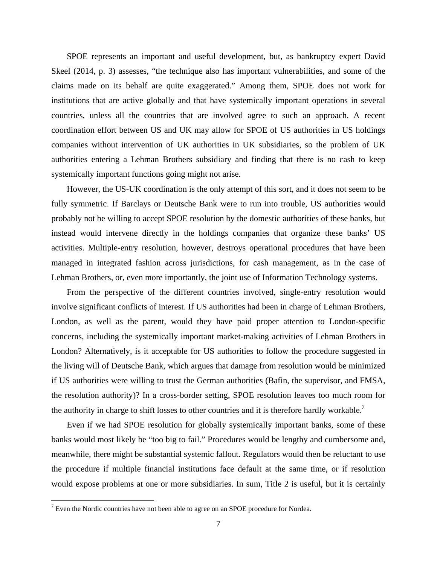SPOE represents an important and useful development, but, as bankruptcy expert David Skeel (2014, p. 3) assesses, "the technique also has important vulnerabilities, and some of the claims made on its behalf are quite exaggerated." Among them, SPOE does not work for institutions that are active globally and that have systemically important operations in several countries, unless all the countries that are involved agree to such an approach. A recent coordination effort between US and UK may allow for SPOE of US authorities in US holdings companies without intervention of UK authorities in UK subsidiaries, so the problem of UK authorities entering a Lehman Brothers subsidiary and finding that there is no cash to keep systemically important functions going might not arise.

However, the US-UK coordination is the only attempt of this sort, and it does not seem to be fully symmetric. If Barclays or Deutsche Bank were to run into trouble, US authorities would probably not be willing to accept SPOE resolution by the domestic authorities of these banks, but instead would intervene directly in the holdings companies that organize these banks' US activities. Multiple-entry resolution, however, destroys operational procedures that have been managed in integrated fashion across jurisdictions, for cash management, as in the case of Lehman Brothers, or, even more importantly, the joint use of Information Technology systems.

From the perspective of the different countries involved, single-entry resolution would involve significant conflicts of interest. If US authorities had been in charge of Lehman Brothers, London, as well as the parent, would they have paid proper attention to London-specific concerns, including the systemically important market-making activities of Lehman Brothers in London? Alternatively, is it acceptable for US authorities to follow the procedure suggested in the living will of Deutsche Bank, which argues that damage from resolution would be minimized if US authorities were willing to trust the German authorities (Bafin, the supervisor, and FMSA, the resolution authority)? In a cross-border setting, SPOE resolution leaves too much room for the authority in charge to shift losses to other countries and it is therefore hardly workable.<sup>7</sup>

Even if we had SPOE resolution for globally systemically important banks, some of these banks would most likely be "too big to fail." Procedures would be lengthy and cumbersome and, meanwhile, there might be substantial systemic fallout. Regulators would then be reluctant to use the procedure if multiple financial institutions face default at the same time, or if resolution would expose problems at one or more subsidiaries. In sum, Title 2 is useful, but it is certainly

 $7$  Even the Nordic countries have not been able to agree on an SPOE procedure for Nordea.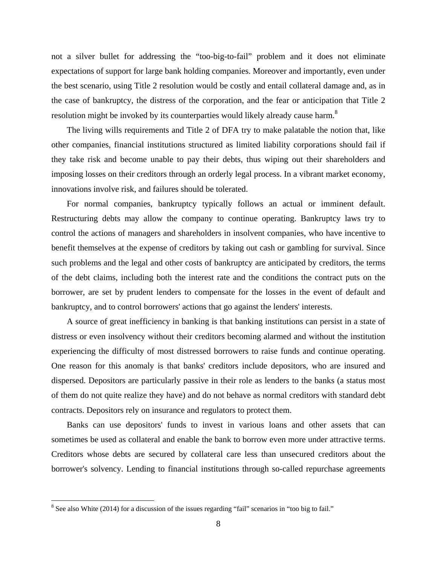not a silver bullet for addressing the "too-big-to-fail" problem and it does not eliminate expectations of support for large bank holding companies. Moreover and importantly, even under the best scenario, using Title 2 resolution would be costly and entail collateral damage and, as in the case of bankruptcy, the distress of the corporation, and the fear or anticipation that Title 2 resolution might be invoked by its counterparties would likely already cause harm.<sup>8</sup>

The living wills requirements and Title 2 of DFA try to make palatable the notion that, like other companies, financial institutions structured as limited liability corporations should fail if they take risk and become unable to pay their debts, thus wiping out their shareholders and imposing losses on their creditors through an orderly legal process. In a vibrant market economy, innovations involve risk, and failures should be tolerated.

For normal companies, bankruptcy typically follows an actual or imminent default. Restructuring debts may allow the company to continue operating. Bankruptcy laws try to control the actions of managers and shareholders in insolvent companies, who have incentive to benefit themselves at the expense of creditors by taking out cash or gambling for survival. Since such problems and the legal and other costs of bankruptcy are anticipated by creditors, the terms of the debt claims, including both the interest rate and the conditions the contract puts on the borrower, are set by prudent lenders to compensate for the losses in the event of default and bankruptcy, and to control borrowers' actions that go against the lenders' interests.

A source of great inefficiency in banking is that banking institutions can persist in a state of distress or even insolvency without their creditors becoming alarmed and without the institution experiencing the difficulty of most distressed borrowers to raise funds and continue operating. One reason for this anomaly is that banks' creditors include depositors, who are insured and dispersed. Depositors are particularly passive in their role as lenders to the banks (a status most of them do not quite realize they have) and do not behave as normal creditors with standard debt contracts. Depositors rely on insurance and regulators to protect them.

Banks can use depositors' funds to invest in various loans and other assets that can sometimes be used as collateral and enable the bank to borrow even more under attractive terms. Creditors whose debts are secured by collateral care less than unsecured creditors about the borrower's solvency. Lending to financial institutions through so-called repurchase agreements

<u>.</u>

 $8$  See also White (2014) for a discussion of the issues regarding "fail" scenarios in "too big to fail."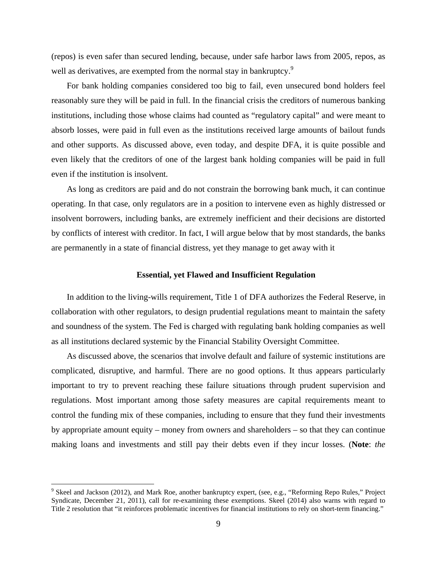(repos) is even safer than secured lending, because, under safe harbor laws from 2005, repos, as well as derivatives, are exempted from the normal stay in bankruptcy.<sup>9</sup>

For bank holding companies considered too big to fail, even unsecured bond holders feel reasonably sure they will be paid in full. In the financial crisis the creditors of numerous banking institutions, including those whose claims had counted as "regulatory capital" and were meant to absorb losses, were paid in full even as the institutions received large amounts of bailout funds and other supports. As discussed above, even today, and despite DFA, it is quite possible and even likely that the creditors of one of the largest bank holding companies will be paid in full even if the institution is insolvent.

As long as creditors are paid and do not constrain the borrowing bank much, it can continue operating. In that case, only regulators are in a position to intervene even as highly distressed or insolvent borrowers, including banks, are extremely inefficient and their decisions are distorted by conflicts of interest with creditor. In fact, I will argue below that by most standards, the banks are permanently in a state of financial distress, yet they manage to get away with it

#### **Essential, yet Flawed and Insufficient Regulation**

In addition to the living-wills requirement, Title 1 of DFA authorizes the Federal Reserve, in collaboration with other regulators, to design prudential regulations meant to maintain the safety and soundness of the system. The Fed is charged with regulating bank holding companies as well as all institutions declared systemic by the Financial Stability Oversight Committee.

As discussed above, the scenarios that involve default and failure of systemic institutions are complicated, disruptive, and harmful. There are no good options. It thus appears particularly important to try to prevent reaching these failure situations through prudent supervision and regulations. Most important among those safety measures are capital requirements meant to control the funding mix of these companies, including to ensure that they fund their investments by appropriate amount equity – money from owners and shareholders – so that they can continue making loans and investments and still pay their debts even if they incur losses. (**Note**: *the* 

<sup>&</sup>lt;sup>9</sup> Skeel and Jackson (2012), and Mark Roe, another bankruptcy expert, (see, e.g., "Reforming Repo Rules," Project Syndicate, December 21, 2011), call for re-examining these exemptions. Skeel (2014) also warns with regard to Title 2 resolution that "it reinforces problematic incentives for financial institutions to rely on short-term financing."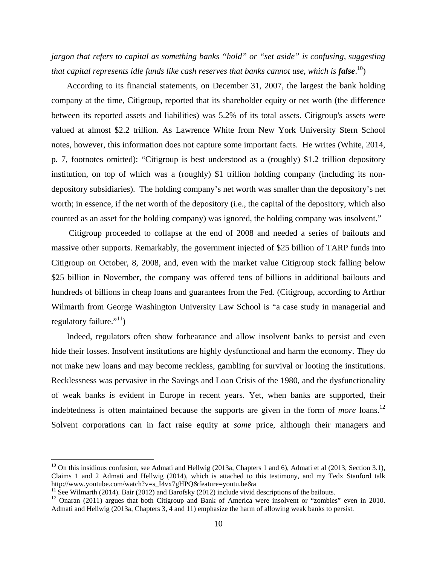*jargon that refers to capital as something banks "hold" or "set aside" is confusing, suggesting that capital represents idle funds like cash reserves that banks cannot use*, *which is false*. 10)

According to its financial statements, on December 31, 2007, the largest the bank holding company at the time, Citigroup, reported that its shareholder equity or net worth (the difference between its reported assets and liabilities) was 5.2% of its total assets. Citigroup's assets were valued at almost \$2.2 trillion. As Lawrence White from New York University Stern School notes, however, this information does not capture some important facts. He writes (White, 2014, p. 7, footnotes omitted): "Citigroup is best understood as a (roughly) \$1.2 trillion depository institution, on top of which was a (roughly) \$1 trillion holding company (including its nondepository subsidiaries). The holding company's net worth was smaller than the depository's net worth; in essence, if the net worth of the depository (i.e., the capital of the depository, which also counted as an asset for the holding company) was ignored, the holding company was insolvent."

 Citigroup proceeded to collapse at the end of 2008 and needed a series of bailouts and massive other supports. Remarkably, the government injected of \$25 billion of TARP funds into Citigroup on October, 8, 2008, and, even with the market value Citigroup stock falling below \$25 billion in November, the company was offered tens of billions in additional bailouts and hundreds of billions in cheap loans and guarantees from the Fed. (Citigroup, according to Arthur Wilmarth from George Washington University Law School is "a case study in managerial and regulatory failure."<sup>11</sup>)

Indeed, regulators often show forbearance and allow insolvent banks to persist and even hide their losses. Insolvent institutions are highly dysfunctional and harm the economy. They do not make new loans and may become reckless, gambling for survival or looting the institutions. Recklessness was pervasive in the Savings and Loan Crisis of the 1980, and the dysfunctionality of weak banks is evident in Europe in recent years. Yet, when banks are supported, their indebtedness is often maintained because the supports are given in the form of *more* loans.<sup>12</sup> Solvent corporations can in fact raise equity at *some* price, although their managers and

 $10$  On this insidious confusion, see Admati and Hellwig (2013a, Chapters 1 and 6), Admati et al (2013, Section 3.1), Claims 1 and 2 Admati and Hellwig (2014), which is attached to this testimony, and my Tedx Stanford talk http://www.youtube.com/watch?v=s I4vx7gHPQ&feature=youtu.be&a

<sup>&</sup>lt;sup>11</sup> See Wilmarth (2014). Bair (2012) and Barofsky (2012) include vivid descriptions of the bailouts.

<sup>&</sup>lt;sup>12</sup> Onaran (2011) argues that both Citigroup and Bank of America were insolvent or "zombies" even in 2010. Admati and Hellwig (2013a, Chapters 3, 4 and 11) emphasize the harm of allowing weak banks to persist.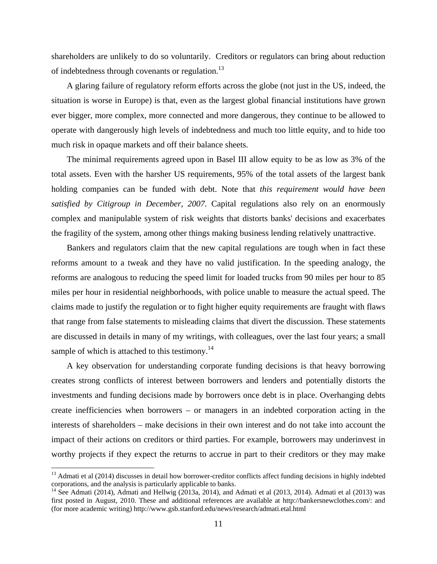shareholders are unlikely to do so voluntarily. Creditors or regulators can bring about reduction of indebtedness through covenants or regulation.<sup>13</sup>

A glaring failure of regulatory reform efforts across the globe (not just in the US, indeed, the situation is worse in Europe) is that, even as the largest global financial institutions have grown ever bigger, more complex, more connected and more dangerous, they continue to be allowed to operate with dangerously high levels of indebtedness and much too little equity, and to hide too much risk in opaque markets and off their balance sheets.

The minimal requirements agreed upon in Basel III allow equity to be as low as 3% of the total assets. Even with the harsher US requirements, 95% of the total assets of the largest bank holding companies can be funded with debt. Note that *this requirement would have been satisfied by Citigroup in December, 2007*. Capital regulations also rely on an enormously complex and manipulable system of risk weights that distorts banks' decisions and exacerbates the fragility of the system, among other things making business lending relatively unattractive.

Bankers and regulators claim that the new capital regulations are tough when in fact these reforms amount to a tweak and they have no valid justification. In the speeding analogy, the reforms are analogous to reducing the speed limit for loaded trucks from 90 miles per hour to 85 miles per hour in residential neighborhoods, with police unable to measure the actual speed. The claims made to justify the regulation or to fight higher equity requirements are fraught with flaws that range from false statements to misleading claims that divert the discussion. These statements are discussed in details in many of my writings, with colleagues, over the last four years; a small sample of which is attached to this testimony. $^{14}$ 

A key observation for understanding corporate funding decisions is that heavy borrowing creates strong conflicts of interest between borrowers and lenders and potentially distorts the investments and funding decisions made by borrowers once debt is in place. Overhanging debts create inefficiencies when borrowers – or managers in an indebted corporation acting in the interests of shareholders – make decisions in their own interest and do not take into account the impact of their actions on creditors or third parties. For example, borrowers may underinvest in worthy projects if they expect the returns to accrue in part to their creditors or they may make

 $13$  Admati et al (2014) discusses in detail how borrower-creditor conflicts affect funding decisions in highly indebted corporations, and the analysis is particularly applicable to banks.

<sup>&</sup>lt;sup>14</sup> See Admati (2014), Admati and Hellwig (2013a, 2014), and Admati et al (2013, 2014). Admati et al (2013) was first posted in August, 2010. These and additional references are available at http://bankersnewclothes.com/: and (for more academic writing) http://www.gsb.stanford.edu/news/research/admati.etal.html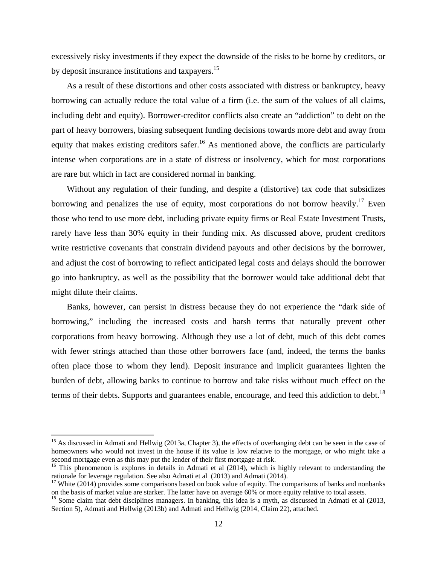excessively risky investments if they expect the downside of the risks to be borne by creditors, or by deposit insurance institutions and taxpayers.<sup>15</sup>

As a result of these distortions and other costs associated with distress or bankruptcy, heavy borrowing can actually reduce the total value of a firm (i.e. the sum of the values of all claims, including debt and equity). Borrower-creditor conflicts also create an "addiction" to debt on the part of heavy borrowers, biasing subsequent funding decisions towards more debt and away from equity that makes existing creditors safer.<sup>16</sup> As mentioned above, the conflicts are particularly intense when corporations are in a state of distress or insolvency, which for most corporations are rare but which in fact are considered normal in banking.

Without any regulation of their funding, and despite a (distortive) tax code that subsidizes borrowing and penalizes the use of equity, most corporations do not borrow heavily.<sup>17</sup> Even those who tend to use more debt, including private equity firms or Real Estate Investment Trusts, rarely have less than 30% equity in their funding mix. As discussed above, prudent creditors write restrictive covenants that constrain dividend payouts and other decisions by the borrower, and adjust the cost of borrowing to reflect anticipated legal costs and delays should the borrower go into bankruptcy, as well as the possibility that the borrower would take additional debt that might dilute their claims.

Banks, however, can persist in distress because they do not experience the "dark side of borrowing," including the increased costs and harsh terms that naturally prevent other corporations from heavy borrowing. Although they use a lot of debt, much of this debt comes with fewer strings attached than those other borrowers face (and, indeed, the terms the banks often place those to whom they lend). Deposit insurance and implicit guarantees lighten the burden of debt, allowing banks to continue to borrow and take risks without much effect on the terms of their debts. Supports and guarantees enable, encourage, and feed this addiction to debt.<sup>18</sup>

<sup>&</sup>lt;sup>15</sup> As discussed in Admati and Hellwig (2013a, Chapter 3), the effects of overhanging debt can be seen in the case of homeowners who would not invest in the house if its value is low relative to the mortgage, or who might take a second mortgage even as this may put the lender of their first mortgage at risk.

<sup>&</sup>lt;sup>16</sup> This phenomenon is explores in details in Admati et al (2014), which is highly relevant to understanding the rationale for leverage regulation. See also Admati et al (2013) and Admati (2014).

<sup>&</sup>lt;sup>17</sup> White (2014) provides some comparisons based on book value of equity. The comparisons of banks and nonbanks on the basis of market value are starker. The latter have on average  $60\%$  or more equity relative to total

 $18$  Some claim that debt disciplines managers. In banking, this idea is a myth, as discussed in Admati et al (2013, Section 5), Admati and Hellwig (2013b) and Admati and Hellwig (2014, Claim 22), attached.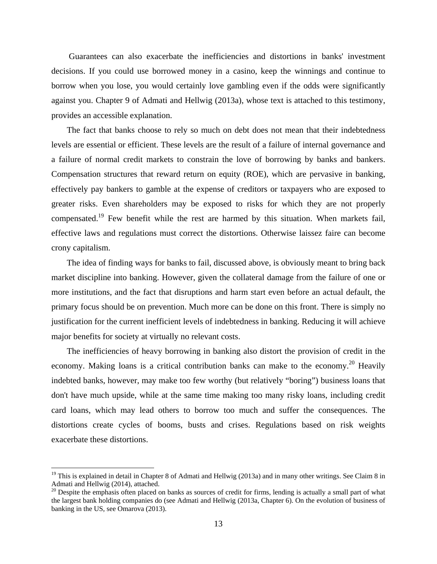Guarantees can also exacerbate the inefficiencies and distortions in banks' investment decisions. If you could use borrowed money in a casino, keep the winnings and continue to borrow when you lose, you would certainly love gambling even if the odds were significantly against you. Chapter 9 of Admati and Hellwig (2013a), whose text is attached to this testimony, provides an accessible explanation.

The fact that banks choose to rely so much on debt does not mean that their indebtedness levels are essential or efficient. These levels are the result of a failure of internal governance and a failure of normal credit markets to constrain the love of borrowing by banks and bankers. Compensation structures that reward return on equity (ROE), which are pervasive in banking, effectively pay bankers to gamble at the expense of creditors or taxpayers who are exposed to greater risks. Even shareholders may be exposed to risks for which they are not properly compensated.<sup>19</sup> Few benefit while the rest are harmed by this situation. When markets fail, effective laws and regulations must correct the distortions. Otherwise laissez faire can become crony capitalism.

The idea of finding ways for banks to fail, discussed above, is obviously meant to bring back market discipline into banking. However, given the collateral damage from the failure of one or more institutions, and the fact that disruptions and harm start even before an actual default, the primary focus should be on prevention. Much more can be done on this front. There is simply no justification for the current inefficient levels of indebtedness in banking. Reducing it will achieve major benefits for society at virtually no relevant costs.

The inefficiencies of heavy borrowing in banking also distort the provision of credit in the economy. Making loans is a critical contribution banks can make to the economy.<sup>20</sup> Heavily indebted banks, however, may make too few worthy (but relatively "boring") business loans that don't have much upside, while at the same time making too many risky loans, including credit card loans, which may lead others to borrow too much and suffer the consequences. The distortions create cycles of booms, busts and crises. Regulations based on risk weights exacerbate these distortions.

<sup>&</sup>lt;sup>19</sup> This is explained in detail in Chapter 8 of Admati and Hellwig (2013a) and in many other writings. See Claim 8 in Admati and Hellwig (2014), attached.

 $20$  Despite the emphasis often placed on banks as sources of credit for firms, lending is actually a small part of what the largest bank holding companies do (see Admati and Hellwig (2013a, Chapter 6). On the evolution of business of banking in the US, see Omarova (2013).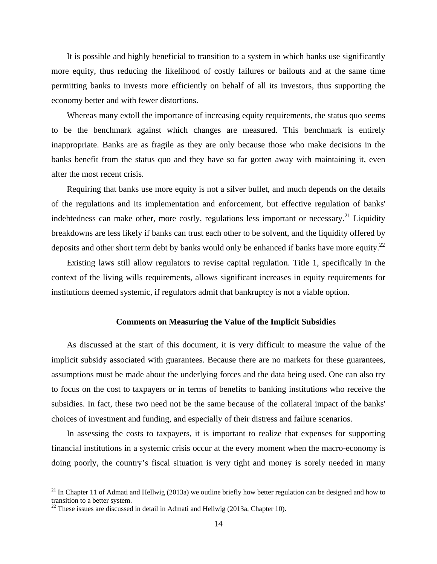It is possible and highly beneficial to transition to a system in which banks use significantly more equity, thus reducing the likelihood of costly failures or bailouts and at the same time permitting banks to invests more efficiently on behalf of all its investors, thus supporting the economy better and with fewer distortions.

Whereas many extoll the importance of increasing equity requirements, the status quo seems to be the benchmark against which changes are measured. This benchmark is entirely inappropriate. Banks are as fragile as they are only because those who make decisions in the banks benefit from the status quo and they have so far gotten away with maintaining it, even after the most recent crisis.

Requiring that banks use more equity is not a silver bullet, and much depends on the details of the regulations and its implementation and enforcement, but effective regulation of banks' indebtedness can make other, more costly, regulations less important or necessary.<sup>21</sup> Liquidity breakdowns are less likely if banks can trust each other to be solvent, and the liquidity offered by deposits and other short term debt by banks would only be enhanced if banks have more equity.<sup>22</sup>

Existing laws still allow regulators to revise capital regulation. Title 1, specifically in the context of the living wills requirements, allows significant increases in equity requirements for institutions deemed systemic, if regulators admit that bankruptcy is not a viable option.

#### **Comments on Measuring the Value of the Implicit Subsidies**

As discussed at the start of this document, it is very difficult to measure the value of the implicit subsidy associated with guarantees. Because there are no markets for these guarantees, assumptions must be made about the underlying forces and the data being used. One can also try to focus on the cost to taxpayers or in terms of benefits to banking institutions who receive the subsidies. In fact, these two need not be the same because of the collateral impact of the banks' choices of investment and funding, and especially of their distress and failure scenarios.

In assessing the costs to taxpayers, it is important to realize that expenses for supporting financial institutions in a systemic crisis occur at the every moment when the macro-economy is doing poorly, the country's fiscal situation is very tight and money is sorely needed in many

 $21$  In Chapter 11 of Admati and Hellwig (2013a) we outline briefly how better regulation can be designed and how to transition to a better system.

 $^{22}$  These issues are discussed in detail in Admati and Hellwig (2013a, Chapter 10).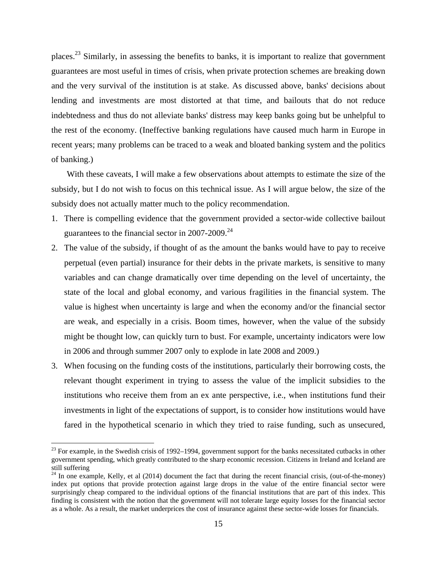places.23 Similarly, in assessing the benefits to banks, it is important to realize that government guarantees are most useful in times of crisis, when private protection schemes are breaking down and the very survival of the institution is at stake. As discussed above, banks' decisions about lending and investments are most distorted at that time, and bailouts that do not reduce indebtedness and thus do not alleviate banks' distress may keep banks going but be unhelpful to the rest of the economy. (Ineffective banking regulations have caused much harm in Europe in recent years; many problems can be traced to a weak and bloated banking system and the politics of banking.)

With these caveats, I will make a few observations about attempts to estimate the size of the subsidy, but I do not wish to focus on this technical issue. As I will argue below, the size of the subsidy does not actually matter much to the policy recommendation.

- 1. There is compelling evidence that the government provided a sector-wide collective bailout guarantees to the financial sector in  $2007-2009$ <sup>24</sup>
- 2. The value of the subsidy, if thought of as the amount the banks would have to pay to receive perpetual (even partial) insurance for their debts in the private markets, is sensitive to many variables and can change dramatically over time depending on the level of uncertainty, the state of the local and global economy, and various fragilities in the financial system. The value is highest when uncertainty is large and when the economy and/or the financial sector are weak, and especially in a crisis. Boom times, however, when the value of the subsidy might be thought low, can quickly turn to bust. For example, uncertainty indicators were low in 2006 and through summer 2007 only to explode in late 2008 and 2009.)
- 3. When focusing on the funding costs of the institutions, particularly their borrowing costs, the relevant thought experiment in trying to assess the value of the implicit subsidies to the institutions who receive them from an ex ante perspective, i.e., when institutions fund their investments in light of the expectations of support, is to consider how institutions would have fared in the hypothetical scenario in which they tried to raise funding, such as unsecured,

 $23$  For example, in the Swedish crisis of 1992–1994, government support for the banks necessitated cutbacks in other government spending, which greatly contributed to the sharp economic recession. Citizens in Ireland and Iceland are still suffering

 $24$  In one example, Kelly, et al (2014) document the fact that during the recent financial crisis, (out-of-the-money) index put options that provide protection against large drops in the value of the entire financial sector were surprisingly cheap compared to the individual options of the financial institutions that are part of this index. This finding is consistent with the notion that the government will not tolerate large equity losses for the financial sector as a whole. As a result, the market underprices the cost of insurance against these sector-wide losses for financials.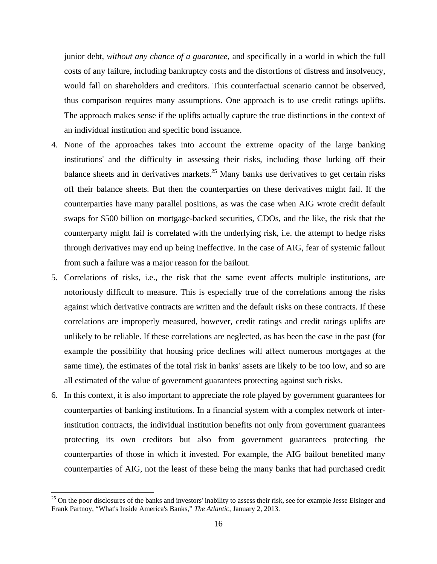junior debt, *without any chance of a guarantee,* and specifically in a world in which the full costs of any failure, including bankruptcy costs and the distortions of distress and insolvency, would fall on shareholders and creditors. This counterfactual scenario cannot be observed, thus comparison requires many assumptions. One approach is to use credit ratings uplifts. The approach makes sense if the uplifts actually capture the true distinctions in the context of an individual institution and specific bond issuance.

- 4. None of the approaches takes into account the extreme opacity of the large banking institutions' and the difficulty in assessing their risks, including those lurking off their balance sheets and in derivatives markets.<sup>25</sup> Many banks use derivatives to get certain risks off their balance sheets. But then the counterparties on these derivatives might fail. If the counterparties have many parallel positions, as was the case when AIG wrote credit default swaps for \$500 billion on mortgage-backed securities, CDOs, and the like, the risk that the counterparty might fail is correlated with the underlying risk, i.e. the attempt to hedge risks through derivatives may end up being ineffective. In the case of AIG, fear of systemic fallout from such a failure was a major reason for the bailout.
- 5. Correlations of risks, i.e., the risk that the same event affects multiple institutions, are notoriously difficult to measure. This is especially true of the correlations among the risks against which derivative contracts are written and the default risks on these contracts. If these correlations are improperly measured, however, credit ratings and credit ratings uplifts are unlikely to be reliable. If these correlations are neglected, as has been the case in the past (for example the possibility that housing price declines will affect numerous mortgages at the same time), the estimates of the total risk in banks' assets are likely to be too low, and so are all estimated of the value of government guarantees protecting against such risks.
- 6. In this context, it is also important to appreciate the role played by government guarantees for counterparties of banking institutions. In a financial system with a complex network of interinstitution contracts, the individual institution benefits not only from government guarantees protecting its own creditors but also from government guarantees protecting the counterparties of those in which it invested. For example, the AIG bailout benefited many counterparties of AIG, not the least of these being the many banks that had purchased credit

<sup>&</sup>lt;sup>25</sup> On the poor disclosures of the banks and investors' inability to assess their risk, see for example Jesse Eisinger and Frank Partnoy, "What's Inside America's Banks," *The Atlantic*, January 2, 2013.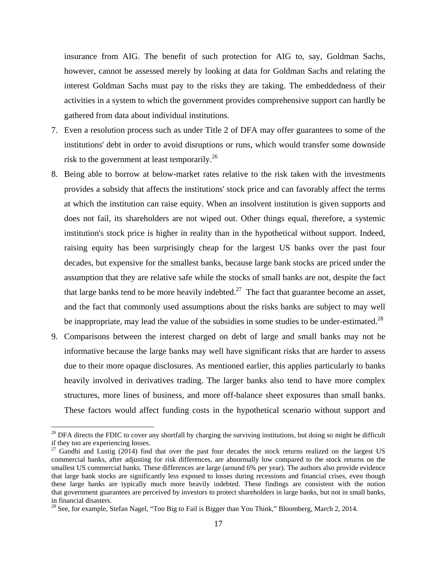insurance from AIG. The benefit of such protection for AIG to, say, Goldman Sachs, however, cannot be assessed merely by looking at data for Goldman Sachs and relating the interest Goldman Sachs must pay to the risks they are taking. The embeddedness of their activities in a system to which the government provides comprehensive support can hardly be gathered from data about individual institutions.

- 7. Even a resolution process such as under Title 2 of DFA may offer guarantees to some of the institutions' debt in order to avoid disruptions or runs, which would transfer some downside risk to the government at least temporarily.<sup>26</sup>
- 8. Being able to borrow at below-market rates relative to the risk taken with the investments provides a subsidy that affects the institutions' stock price and can favorably affect the terms at which the institution can raise equity. When an insolvent institution is given supports and does not fail, its shareholders are not wiped out. Other things equal, therefore, a systemic institution's stock price is higher in reality than in the hypothetical without support. Indeed, raising equity has been surprisingly cheap for the largest US banks over the past four decades, but expensive for the smallest banks, because large bank stocks are priced under the assumption that they are relative safe while the stocks of small banks are not, despite the fact that large banks tend to be more heavily indebted.<sup>27</sup> The fact that guarantee become an asset, and the fact that commonly used assumptions about the risks banks are subject to may well be inappropriate, may lead the value of the subsidies in some studies to be under-estimated.<sup>28</sup>
- 9. Comparisons between the interest charged on debt of large and small banks may not be informative because the large banks may well have significant risks that are harder to assess due to their more opaque disclosures. As mentioned earlier, this applies particularly to banks heavily involved in derivatives trading. The larger banks also tend to have more complex structures, more lines of business, and more off-balance sheet exposures than small banks. These factors would affect funding costs in the hypothetical scenario without support and

 $26$  DFA directs the FDIC to cover any shortfall by charging the surviving institutions, but doing so might be difficult if they too are experiencing losses.

 $27$  Gandhi and Lustig (2014) find that over the past four decades the stock returns realized on the largest US commercial banks, after adjusting for risk differences, are abnormally low compared to the stock returns on the smallest US commercial banks. These differences are large (around 6% per year). The authors also provide evidence that large bank stocks are significantly less exposed to losses during recessions and financial crises, even though these large banks are typically much more heavily indebted. These findings are consistent with the notion that government guarantees are perceived by investors to protect shareholders in large banks, but not in small banks, in financial disasters.

<sup>&</sup>lt;sup>28</sup> See, for example, Stefan Nagel, "Too Big to Fail is Bigger than You Think," Bloomberg, March 2, 2014.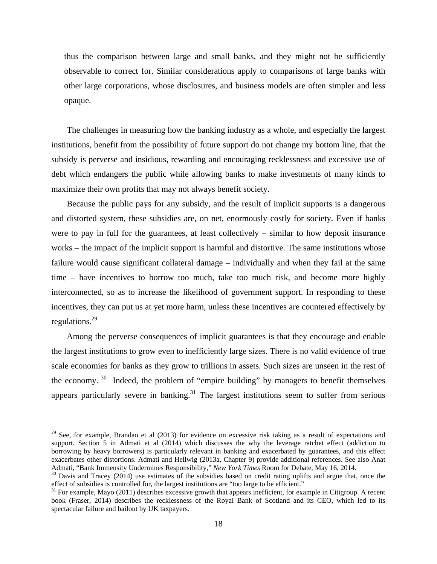thus the comparison between large and small banks, and they might not be sufficiently observable to correct for. Similar considerations apply to comparisons of large banks with other large corporations, whose disclosures, and business models are often simpler and less opaque.

The challenges in measuring how the banking industry as a whole, and especially the largest institutions, benefit from the possibility of future support do not change my bottom line, that the subsidy is perverse and insidious, rewarding and encouraging recklessness and excessive use of debt which endangers the public while allowing banks to make investments of many kinds to maximize their own profits that may not always benefit society.

Because the public pays for any subsidy, and the result of implicit supports is a dangerous and distorted system, these subsidies are, on net, enormously costly for society. Even if banks were to pay in full for the guarantees, at least collectively – similar to how deposit insurance works – the impact of the implicit support is harmful and distortive. The same institutions whose failure would cause significant collateral damage – individually and when they fail at the same time – have incentives to borrow too much, take too much risk, and become more highly interconnected, so as to increase the likelihood of government support. In responding to these incentives, they can put us at yet more harm, unless these incentives are countered effectively by regulations.29

Among the perverse consequences of implicit guarantees is that they encourage and enable the largest institutions to grow even to inefficiently large sizes. There is no valid evidence of true scale economies for banks as they grow to trillions in assets. Such sizes are unseen in the rest of the economy.<sup>30</sup> Indeed, the problem of "empire building" by managers to benefit themselves appears particularly severe in banking.<sup>31</sup> The largest institutions seem to suffer from serious

 $29$  See, for example, Brandao et al (2013) for evidence on excessive risk taking as a result of expectations and support. Section 5 in Admati et al (2014) which discusses the why the leverage ratchet effect (addiction to borrowing by heavy borrowers) is particularly relevant in banking and exacerbated by guarantees, and this effect exacerbates other distortions. Admati and Hellwig (2013a, Chapter 9) provide additional references. See also Anat

Admati, "Bank Immensity Undermines Responsibility," *New York Times* Room for Debate, May 16, 2014.<br><sup>30</sup> Davis and Tracey (2014) use estimates of the subsidies based on credit rating uplifts and argue that, once the effect

 $^{31}$  For example, Mayo (2011) describes excessive growth that appears inefficient, for example in Citigroup. A recent book (Fraser, 2014) describes the recklessness of the Royal Bank of Scotland and its CEO, which led to its spectacular failure and bailout by UK taxpayers.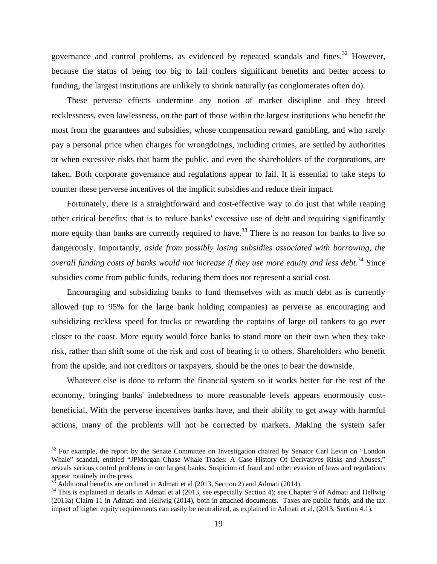governance and control problems, as evidenced by repeated scandals and fines.<sup>32</sup> However, because the status of being too big to fail confers significant benefits and better access to funding, the largest institutions are unlikely to shrink naturally (as conglomerates often do).

These perverse effects undermine any notion of market discipline and they breed recklessness, even lawlessness, on the part of those within the largest institutions who benefit the most from the guarantees and subsidies, whose compensation reward gambling, and who rarely pay a personal price when charges for wrongdoings, including crimes, are settled by authorities or when excessive risks that harm the public, and even the shareholders of the corporations, are taken. Both corporate governance and regulations appear to fail. It is essential to take steps to counter these perverse incentives of the implicit subsidies and reduce their impact.

Fortunately, there is a straightforward and cost-effective way to do just that while reaping other critical benefits; that is to reduce banks' excessive use of debt and requiring significantly more equity than banks are currently required to have.<sup>33</sup> There is no reason for banks to live so dangerously. Importantly, *aside from possibly losing subsidies associated with borrowing, the overall funding costs of banks would not increase if they use more equity and less debt*. 34 Since subsidies come from public funds, reducing them does not represent a social cost.

Encouraging and subsidizing banks to fund themselves with as much debt as is currently allowed (up to 95% for the large bank holding companies) as perverse as encouraging and subsidizing reckless speed for trucks or rewarding the captains of large oil tankers to go ever closer to the coast. More equity would force banks to stand more on their own when they take risk, rather than shift some of the risk and cost of bearing it to others. Shareholders who benefit from the upside, and not creditors or taxpayers, should be the ones to bear the downside.

Whatever else is done to reform the financial system so it works better for the rest of the economy, bringing banks' indebtedness to more reasonable levels appears enormously costbeneficial. With the perverse incentives banks have, and their ability to get away with harmful actions, many of the problems will not be corrected by markets. Making the system safer

 $32$  For example, the report by the Senate Committee on Investigation chaired by Senator Carl Levin on "London" Whale" scandal, entitled "JPMorgan Chase Whale Trades: A Case History Of Derivatives Risks and Abuses," reveals serious control problems in our largest banks. Suspicion of fraud and other evasion of laws and regulations appear routinely in the press.

Additional benefits are outlined in Admati et al (2013, Section 2) and Admati (2014).

<sup>&</sup>lt;sup>34</sup> This is explained in details in Admati et al (2013, see especially Section 4); see Chapter 9 of Admati and Hellwig (2013a) Claim 11 in Admati and Hellwig (2014), both in attached documents. Taxes are public funds, and the tax impact of higher equity requirements can easily be neutralized, as explained in Admati et al, (2013, Section 4.1).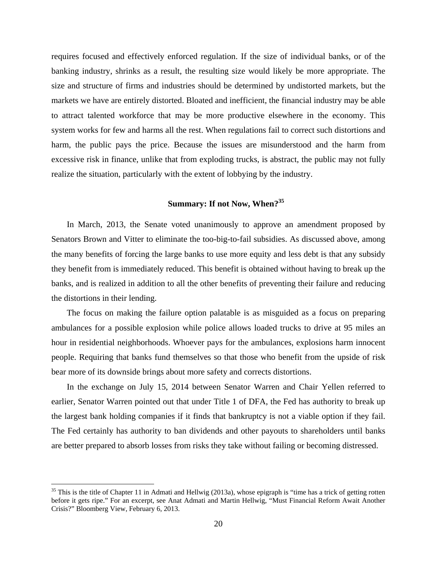requires focused and effectively enforced regulation. If the size of individual banks, or of the banking industry, shrinks as a result, the resulting size would likely be more appropriate. The size and structure of firms and industries should be determined by undistorted markets, but the markets we have are entirely distorted. Bloated and inefficient, the financial industry may be able to attract talented workforce that may be more productive elsewhere in the economy. This system works for few and harms all the rest. When regulations fail to correct such distortions and harm, the public pays the price. Because the issues are misunderstood and the harm from excessive risk in finance, unlike that from exploding trucks, is abstract, the public may not fully realize the situation, particularly with the extent of lobbying by the industry.

## **Summary: If not Now, When?35**

In March, 2013, the Senate voted unanimously to approve an amendment proposed by Senators Brown and Vitter to eliminate the too-big-to-fail subsidies. As discussed above, among the many benefits of forcing the large banks to use more equity and less debt is that any subsidy they benefit from is immediately reduced. This benefit is obtained without having to break up the banks, and is realized in addition to all the other benefits of preventing their failure and reducing the distortions in their lending.

The focus on making the failure option palatable is as misguided as a focus on preparing ambulances for a possible explosion while police allows loaded trucks to drive at 95 miles an hour in residential neighborhoods. Whoever pays for the ambulances, explosions harm innocent people. Requiring that banks fund themselves so that those who benefit from the upside of risk bear more of its downside brings about more safety and corrects distortions.

In the exchange on July 15, 2014 between Senator Warren and Chair Yellen referred to earlier, Senator Warren pointed out that under Title 1 of DFA, the Fed has authority to break up the largest bank holding companies if it finds that bankruptcy is not a viable option if they fail. The Fed certainly has authority to ban dividends and other payouts to shareholders until banks are better prepared to absorb losses from risks they take without failing or becoming distressed.

 $35$  This is the title of Chapter 11 in Admati and Hellwig (2013a), whose epigraph is "time has a trick of getting rotten before it gets ripe." For an excerpt, see Anat Admati and Martin Hellwig, "Must Financial Reform Await Another Crisis?" Bloomberg View, February 6, 2013.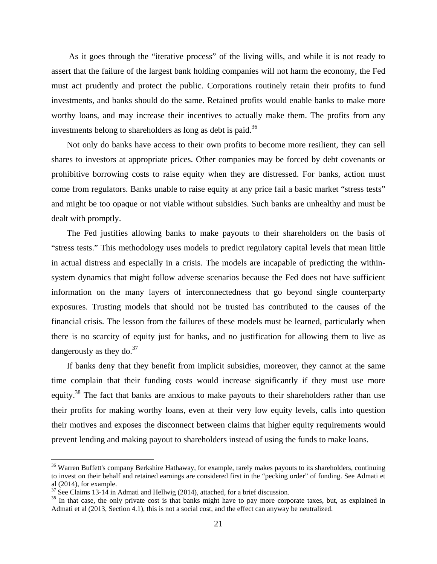As it goes through the "iterative process" of the living wills, and while it is not ready to assert that the failure of the largest bank holding companies will not harm the economy, the Fed must act prudently and protect the public. Corporations routinely retain their profits to fund investments, and banks should do the same. Retained profits would enable banks to make more worthy loans, and may increase their incentives to actually make them. The profits from any investments belong to shareholders as long as debt is paid.<sup>36</sup>

Not only do banks have access to their own profits to become more resilient, they can sell shares to investors at appropriate prices. Other companies may be forced by debt covenants or prohibitive borrowing costs to raise equity when they are distressed. For banks, action must come from regulators. Banks unable to raise equity at any price fail a basic market "stress tests" and might be too opaque or not viable without subsidies. Such banks are unhealthy and must be dealt with promptly.

The Fed justifies allowing banks to make payouts to their shareholders on the basis of "stress tests." This methodology uses models to predict regulatory capital levels that mean little in actual distress and especially in a crisis. The models are incapable of predicting the withinsystem dynamics that might follow adverse scenarios because the Fed does not have sufficient information on the many layers of interconnectedness that go beyond single counterparty exposures. Trusting models that should not be trusted has contributed to the causes of the financial crisis. The lesson from the failures of these models must be learned, particularly when there is no scarcity of equity just for banks, and no justification for allowing them to live as dangerously as they do. $37$ 

If banks deny that they benefit from implicit subsidies, moreover, they cannot at the same time complain that their funding costs would increase significantly if they must use more equity.<sup>38</sup> The fact that banks are anxious to make payouts to their shareholders rather than use their profits for making worthy loans, even at their very low equity levels, calls into question their motives and exposes the disconnect between claims that higher equity requirements would prevent lending and making payout to shareholders instead of using the funds to make loans.

<sup>&</sup>lt;sup>36</sup> Warren Buffett's company Berkshire Hathaway, for example, rarely makes payouts to its shareholders, continuing to invest on their behalf and retained earnings are considered first in the "pecking order" of funding. See Admati et al (2014), for example.<br> $37$  See Claims 13-14 in Admati and Hellwig (2014), attached, for a brief discussion.

 $38$  In that case, the only private cost is that banks might have to pay more corporate taxes, but, as explained in Admati et al (2013, Section 4.1), this is not a social cost, and the effect can anyway be neutralized.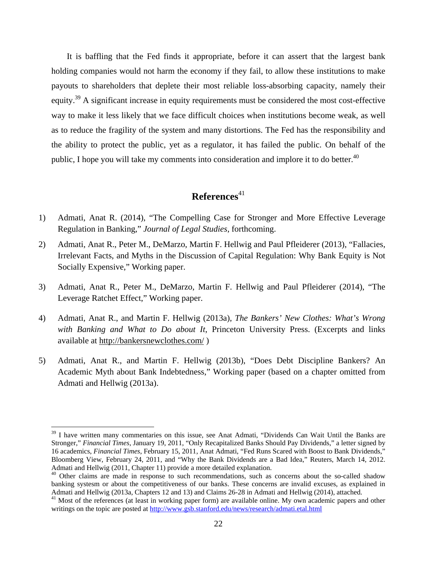It is baffling that the Fed finds it appropriate, before it can assert that the largest bank holding companies would not harm the economy if they fail, to allow these institutions to make payouts to shareholders that deplete their most reliable loss-absorbing capacity, namely their equity.39 A significant increase in equity requirements must be considered the most cost-effective way to make it less likely that we face difficult choices when institutions become weak, as well as to reduce the fragility of the system and many distortions. The Fed has the responsibility and the ability to protect the public, yet as a regulator, it has failed the public. On behalf of the public, I hope you will take my comments into consideration and implore it to do better.<sup>40</sup>

## References<sup>41</sup>

- 1) Admati, Anat R. (2014), "The Compelling Case for Stronger and More Effective Leverage Regulation in Banking," *Journal of Legal Studies*, forthcoming.
- 2) Admati, Anat R., Peter M., DeMarzo, Martin F. Hellwig and Paul Pfleiderer (2013), "Fallacies, Irrelevant Facts, and Myths in the Discussion of Capital Regulation: Why Bank Equity is Not Socially Expensive," Working paper.
- 3) Admati, Anat R., Peter M., DeMarzo, Martin F. Hellwig and Paul Pfleiderer (2014), "The Leverage Ratchet Effect," Working paper.
- 4) Admati, Anat R., and Martin F. Hellwig (2013a), *The Bankers' New Clothes: What's Wrong with Banking and What to Do about It*, Princeton University Press. (Excerpts and links available at http://bankersnewclothes.com/ )
- 5) Admati, Anat R., and Martin F. Hellwig (2013b), "Does Debt Discipline Bankers? An Academic Myth about Bank Indebtedness," Working paper (based on a chapter omitted from Admati and Hellwig (2013a).

<sup>&</sup>lt;sup>39</sup> I have written many commentaries on this issue, see Anat Admati, "Dividends Can Wait Until the Banks are Stronger," *Financial Times*, January 19, 2011, "Only Recapitalized Banks Should Pay Dividends," a letter signed by 16 academics, *Financial Times*, February 15, 2011, Anat Admati, "Fed Runs Scared with Boost to Bank Dividends," Bloomberg View, February 24, 2011, and "Why the Bank Dividends are a Bad Idea," Reuters, March 14, 2012. Admati and Hellwig (2011, Chapter 11) provide a more detailed explanation.

<sup>&</sup>lt;sup>40</sup> Other claims are made in response to such recommendations, such as concerns about the so-called shadow banking systesm or about the competitiveness of our banks. These concerns are invalid excuses, as explained in Admati and Hellwig (2013a, Chapters 12 and 13) and Claims 26-28 in Admati and Hellwig (2014), attached.

<sup>&</sup>lt;sup>41</sup> Most of the references (at least in working paper form) are available online. My own academic papers and other writings on the topic are posted at http://www.gsb.stanford.edu/news/research/admati.etal.html